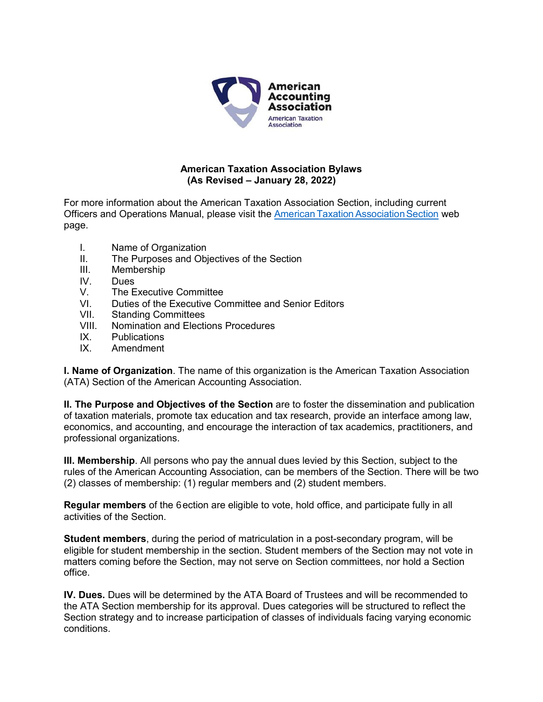

## **American Taxation Association Bylaws (As Revised – January 28, 2022)**

For more information about the American Taxation Association Section, including current Officers and Operations Manual, please visit the American Taxation Association Section web page.

- I. Name of Organization<br>II. The Purposes and Obi
- The Purposes and Objectives of the Section
- III. Membership
- IV. Dues
- V. The Executive Committee<br>VI. Duties of the Executive Co
- Duties of the Executive Committee and Senior Editors
- VII. Standing Committees
- VIII. Nomination and Elections Procedures<br>IX. Publications
- **Publications**
- IX. Amendment

**I. Name of Organization**. The name of this organization is the American Taxation Association (ATA) Section of the American Accounting Association.

**II. The Purpose and Objectives of the Section** are to foster the dissemination and publication of taxation materials, promote tax education and tax research, provide an interface among law, economics, and accounting, and encourage the interaction of tax academics, practitioners, and professional organizations.

**III. Membership**. All persons who pay the annual dues levied by this Section, subject to the rules of the American Accounting Association, can be members of the Section. There will be two (2) classes of membership: (1) regular members and (2) student members.

**Regular members** of the Uection are eligible to vote, hold office, and participate fully in all activities of the Section.

**Student members**, during the period of matriculation in a post-secondary program, will be eligible for student membership in the section. Student members of the Section may not vote in matters coming before the Section, may not serve on Section committees, nor hold a Section office.

**IV. Dues.** Dues will be determined by the ATA Board of Trustees and will be recommended to the ATA Section membership for its approval. Dues categories will be structured to reflect the Section strategy and to increase participation of classes of individuals facing varying economic conditions.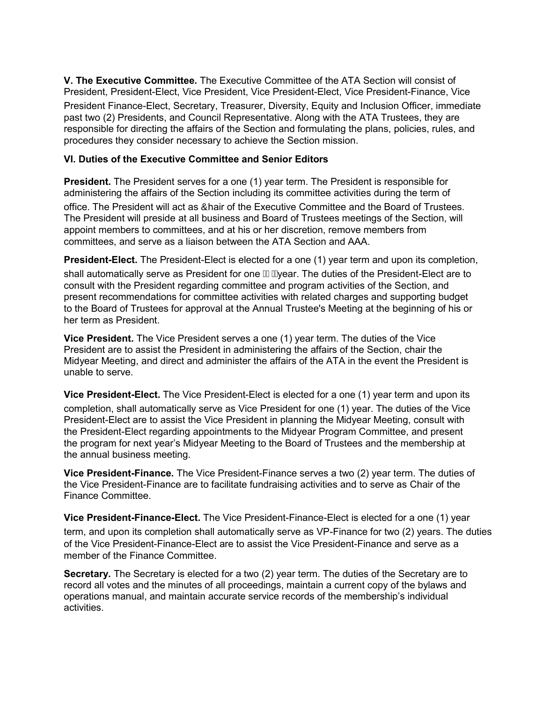**V. The Executive Committee.** The Executive Committee of the ATA Section will consist of President, President-Elect, Vice President, Vice President-Elect, Vice President-Finance, Vice President Finance-Elect, Secretary, Treasurer, Diversity, Equity and Inclusion Officer, immediate past two (2) Presidents, and Council Representative. Along with the ATA Trustees, they are responsible for directing the affairs of the Section and formulating the plans, policies, rules, and procedures they consider necessary to achieve the Section mission.

## **VI. Duties of the Executive Committee and Senior Editors**

**President.** The President serves for a one (1) year term. The President is responsible for administering the affairs of the Section including its committee activities during the term of office. The President will act as Ohair of the Executive Committee and the Board of Trustees. The President will preside at all business and Board of Trustees meetings of the Section, will appoint members to committees, and at his or her discretion, remove members from committees, and serve as a liaison between the ATA Section and AAA.

**President-Elect.** The President-Elect is elected for a one (1) year term and upon its completion, shall automatically serve as President for one CFD year. The duties of the President-Elect are to consult with the President regarding committee and program activities of the Section, and present recommendations for committee activities with related charges and supporting budget to the Board of Trustees for approval at the Annual Trustee's Meeting at the beginning of his or her term as President.

**Vice President.** The Vice President serves a one (1) year term. The duties of the Vice President are to assist the President in administering the affairs of the Section, chair the Midyear Meeting, and direct and administer the affairs of the ATA in the event the President is unable to serve.

**Vice President-Elect.** The Vice President-Elect is elected for a one (1) year term and upon its completion, shall automatically serve as Vice President for one (1) year. The duties of the Vice President-Elect are to assist the Vice President in planning the Midyear Meeting, consult with the President-Elect regarding appointments to the Midyear Program Committee, and present the program for next year's Midyear Meeting to the Board of Trustees and the membership at the annual business meeting.

**Vice President-Finance.** The Vice President-Finance serves a two (2) year term. The duties of the Vice President-Finance are to facilitate fundraising activities and to serve as Chair of the Finance Committee.

**Vice President-Finance-Elect.** The Vice President-Finance-Elect is elected for a one (1) year term, and upon its completion shall automatically serve as VP-Finance for two (2) years. The duties of the Vice President-Finance-Elect are to assist the Vice President-Finance and serve as a member of the Finance Committee.

**Secretary.** The Secretary is elected for a two (2) year term. The duties of the Secretary are to record all votes and the minutes of all proceedings, maintain a current copy of the bylaws and operations manual, and maintain accurate service records of the membership's individual activities.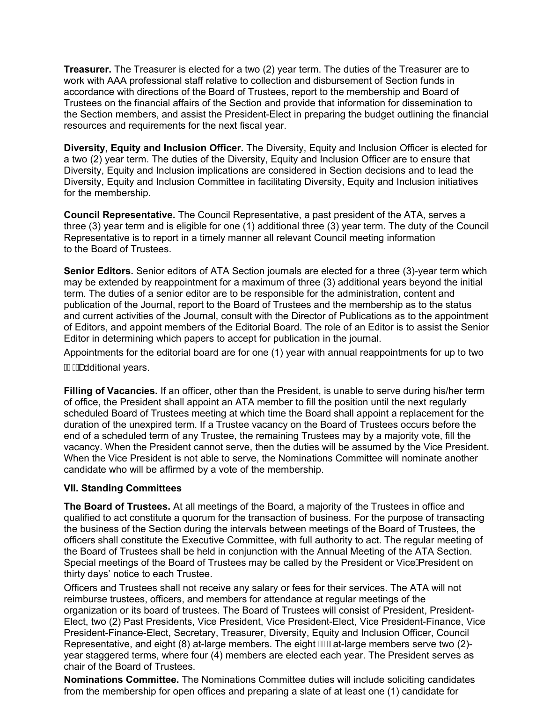**Treasurer.** The Treasurer is elected for a two (2) year term. The duties of the Treasurer are to work with AAA professional staff relative to collection and disbursement of Section funds in accordance with directions of the Board of Trustees, report to the membership and Board of Trustees on the financial affairs of the Section and provide that information for dissemination to the Section members, and assist the President-Elect in preparing the budget outlining the financial resources and requirements for the next fiscal year.

**Diversity, Equity and Inclusion Officer.** The Diversity, Equity and Inclusion Officer is elected for a two (2) year term. The duties of the Diversity, Equity and Inclusion Officer are to ensure that Diversity, Equity and Inclusion implications are considered in Section decisions and to lead the Diversity, Equity and Inclusion Committee in facilitating Diversity, Equity and Inclusion initiatives for the membership.

**Council Representative.** The Council Representative, a past president of the ATA, serves a three (3) year term and is eligible for one (1) additional three (3) year term. The duty of the Council Representative is to report in a timely manner all relevant Council meeting information to the Board of Trustees.

**Senior Editors.** Senior editors of ATA Section journals are elected for a three (3)-year term which may be extended by reappointment for a maximum of three (3) additional years beyond the initial term. The duties of a senior editor are to be responsible for the administration, content and publication of the Journal, report to the Board of Trustees and the membership as to the status and current activities of the Journal, consult with the Director of Publications as to the appointment of Editors, and appoint members of the Editorial Board. The role of an Editor is to assist the Senior Editor in determining which papers to accept for publication in the journal.

Appointments for the editorial board are for one (1) year with annual reappointments for up to two

GDedditional years.

**Filling of Vacancies.** If an officer, other than the President, is unable to serve during his/her term of office, the President shall appoint an ATA member to fill the position until the next regularly scheduled Board of Trustees meeting at which time the Board shall appoint a replacement for the duration of the unexpired term. If a Trustee vacancy on the Board of Trustees occurs before the end of a scheduled term of any Trustee, the remaining Trustees may by a majority vote, fill the vacancy. When the President cannot serve, then the duties will be assumed by the Vice President. When the Vice President is not able to serve, the Nominations Committee will nominate another candidate who will be affirmed by a vote of the membership.

## **VII. Standing Committees**

**The Board of Trustees.** At all meetings of the Board, a majority of the Trustees in office and qualified to act constitute a quorum for the transaction of business. For the purpose of transacting the business of the Section during the intervals between meetings of the Board of Trustees, the officers shall constitute the Executive Committee, with full authority to act. The regular meeting of the Board of Trustees shall be held in conjunction with the Annual Meeting of the ATA Section. Special meetings of the Board of Trustees may be called by the President or Vice President on thirty days' notice to each Trustee.

Officers and Trustees shall not receive any salary or fees for their services. The ATA will not reimburse trustees, officers, and members for attendance at regular meetings of the organization or its board of trustees. The Board of Trustees will consist of President, President-Elect, two (2) Past Presidents, Vice President, Vice President-Elect, Vice President-Finance, Vice President-Finance-Elect, Secretary, Treasurer, Diversity, Equity and Inclusion Officer, Council Representative, and eight (8) at-large members. The eight  $\hat{\phi}$  Dat-large members serve two (2)year staggered terms, where four (4) members are elected each year. The President serves as chair of the Board of Trustees.

**Nominations Committee.** The Nominations Committee duties will include soliciting candidates from the membership for open offices and preparing a slate of at least one (1) candidate for